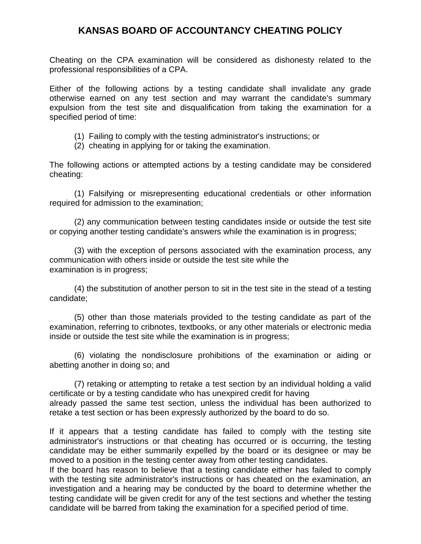## **KANSAS BOARD OF ACCOUNTANCY CHEATING POLICY**

Cheating on the CPA examination will be considered as dishonesty related to the professional responsibilities of a CPA.

Either of the following actions by a testing candidate shall invalidate any grade otherwise earned on any test section and may warrant the candidate's summary expulsion from the test site and disqualification from taking the examination for a specified period of time:

- (1) Failing to comply with the testing administrator's instructions; or
- (2) cheating in applying for or taking the examination.

The following actions or attempted actions by a testing candidate may be considered cheating:

(1) Falsifying or misrepresenting educational credentials or other information required for admission to the examination;

(2) any communication between testing candidates inside or outside the test site or copying another testing candidate's answers while the examination is in progress;

(3) with the exception of persons associated with the examination process, any communication with others inside or outside the test site while the examination is in progress;

(4) the substitution of another person to sit in the test site in the stead of a testing candidate;

(5) other than those materials provided to the testing candidate as part of the examination, referring to cribnotes, textbooks, or any other materials or electronic media inside or outside the test site while the examination is in progress;

(6) violating the nondisclosure prohibitions of the examination or aiding or abetting another in doing so; and

(7) retaking or attempting to retake a test section by an individual holding a valid certificate or by a testing candidate who has unexpired credit for having already passed the same test section, unless the individual has been authorized to retake a test section or has been expressly authorized by the board to do so.

If it appears that a testing candidate has failed to comply with the testing site administrator's instructions or that cheating has occurred or is occurring, the testing candidate may be either summarily expelled by the board or its designee or may be moved to a position in the testing center away from other testing candidates.

If the board has reason to believe that a testing candidate either has failed to comply with the testing site administrator's instructions or has cheated on the examination, an investigation and a hearing may be conducted by the board to determine whether the testing candidate will be given credit for any of the test sections and whether the testing candidate will be barred from taking the examination for a specified period of time.